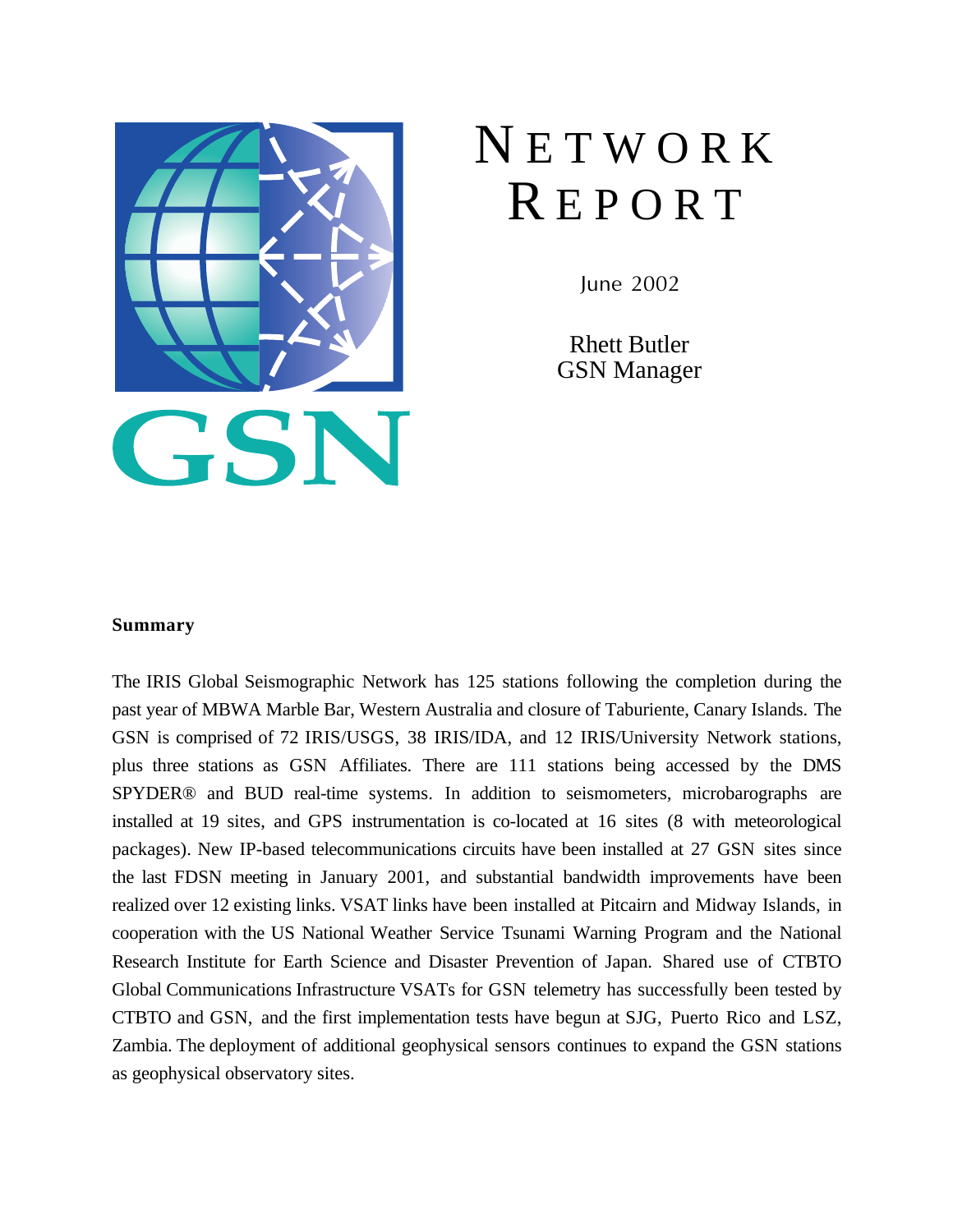

# **NETWORK** R E P O R T

June 2002

Rhett Butler GSN Manager

# **Summary**

The IRIS Global Seismographic Network has 125 stations following the completion during the past year of MBWA Marble Bar, Western Australia and closure of Taburiente, Canary Islands. The GSN is comprised of 72 IRIS/USGS, 38 IRIS/IDA, and 12 IRIS/University Network stations, plus three stations as GSN Affiliates. There are 111 stations being accessed by the DMS SPYDER® and BUD real-time systems. In addition to seismometers, microbarographs are installed at 19 sites, and GPS instrumentation is co-located at 16 sites (8 with meteorological packages). New IP-based telecommunications circuits have been installed at 27 GSN sites since the last FDSN meeting in January 2001, and substantial bandwidth improvements have been realized over 12 existing links. VSAT links have been installed at Pitcairn and Midway Islands, in cooperation with the US National Weather Service Tsunami Warning Program and the National Research Institute for Earth Science and Disaster Prevention of Japan. Shared use of CTBTO Global Communications Infrastructure VSATs for GSN telemetry has successfully been tested by CTBTO and GSN, and the first implementation tests have begun at SJG, Puerto Rico and LSZ, Zambia. The deployment of additional geophysical sensors continues to expand the GSN stations as geophysical observatory sites.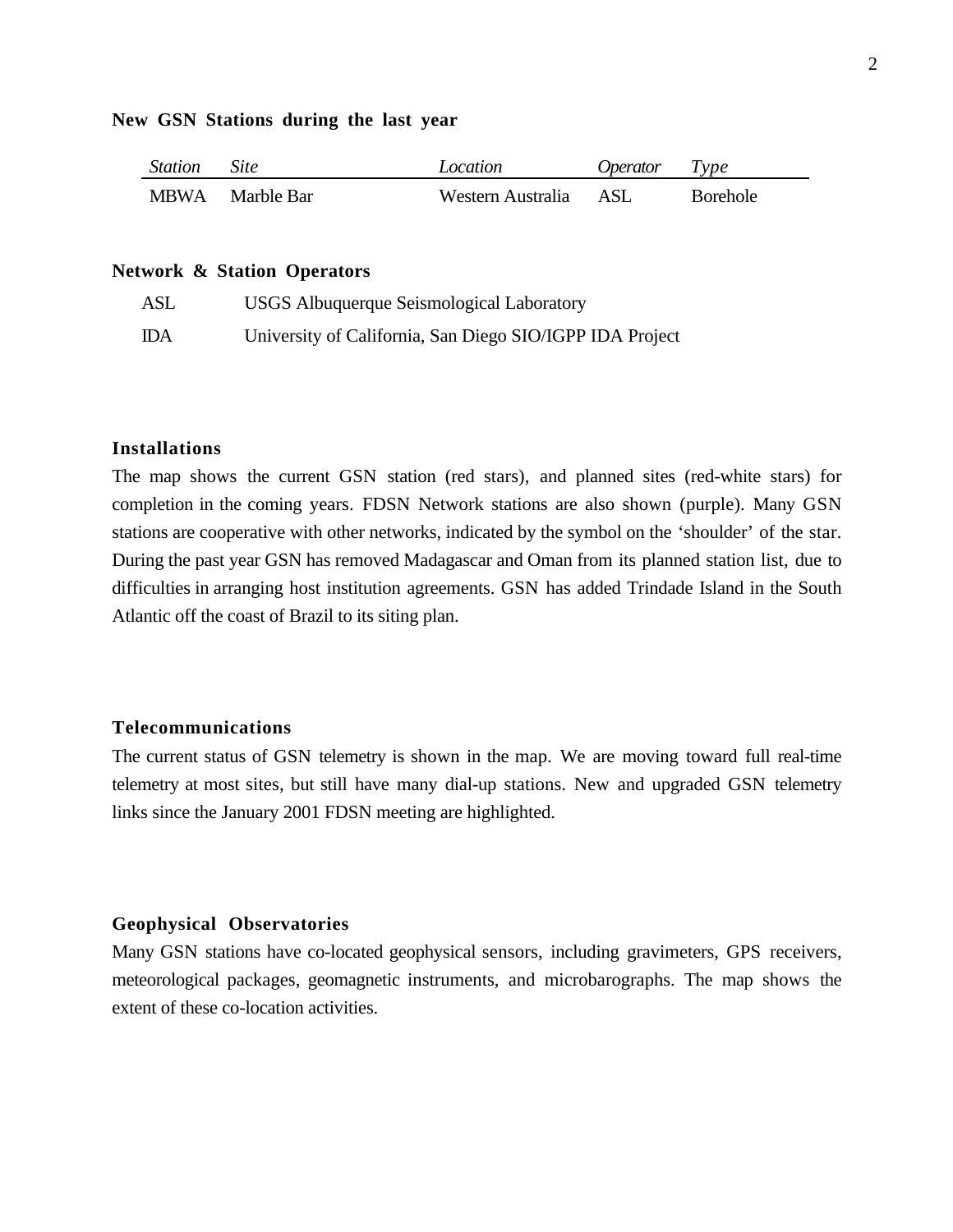## **New GSN Stations during the last year**

| <b>Station</b> | <i>Site</i> | Location          | Operator | Type            |
|----------------|-------------|-------------------|----------|-----------------|
| <b>MBWA</b>    | Marble Bar  | Western Australia | ASL      | <b>Borehole</b> |

#### **Network & Station Operators**

| ASL | USGS Albuquerque Seismological Laboratory                |
|-----|----------------------------------------------------------|
| IDA | University of California, San Diego SIO/IGPP IDA Project |

## **Installations**

The map shows the current GSN station (red stars), and planned sites (red-white stars) for completion in the coming years. FDSN Network stations are also shown (purple). Many GSN stations are cooperative with other networks, indicated by the symbol on the 'shoulder' of the star. During the past year GSN has removed Madagascar and Oman from its planned station list, due to difficulties in arranging host institution agreements. GSN has added Trindade Island in the South Atlantic off the coast of Brazil to its siting plan.

## **Telecommunications**

The current status of GSN telemetry is shown in the map. We are moving toward full real-time telemetry at most sites, but still have many dial-up stations. New and upgraded GSN telemetry links since the January 2001 FDSN meeting are highlighted.

## **Geophysical Observatories**

Many GSN stations have co-located geophysical sensors, including gravimeters, GPS receivers, meteorological packages, geomagnetic instruments, and microbarographs. The map shows the extent of these co-location activities.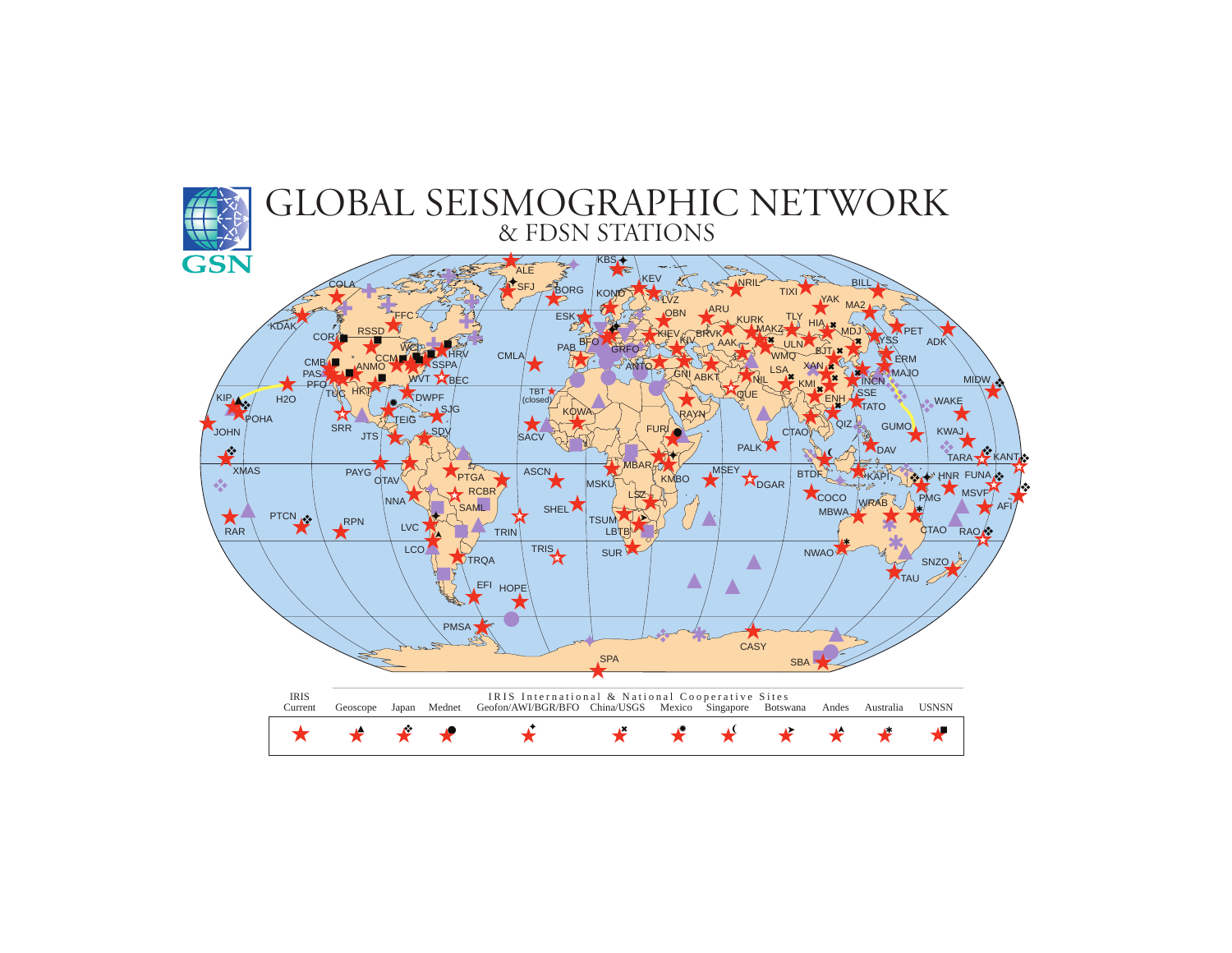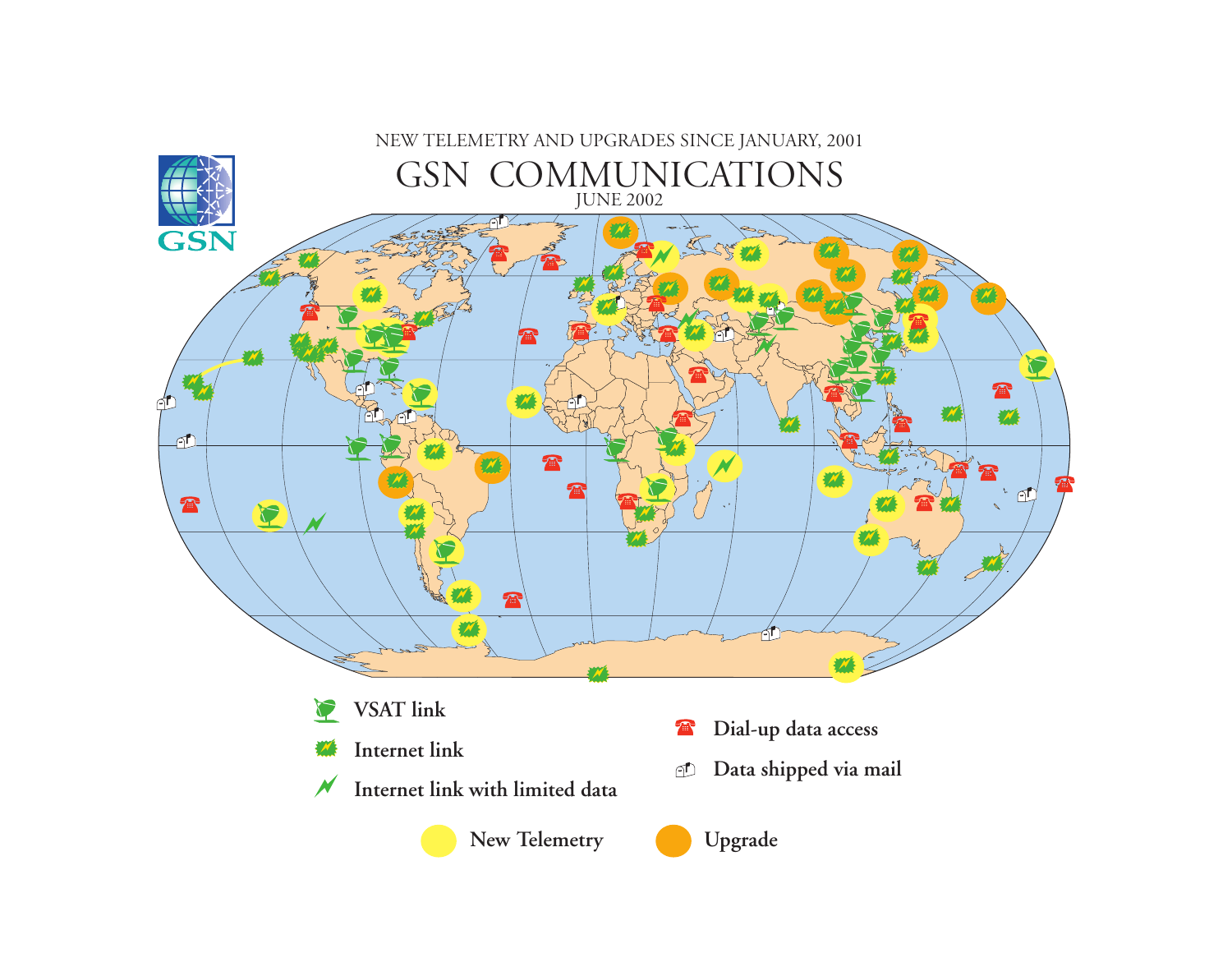